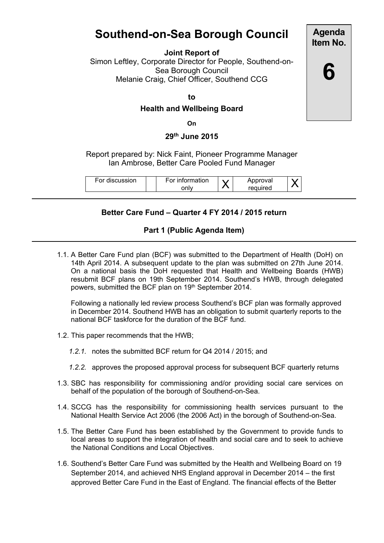# **Southend-on-Sea Borough Council**

**Joint Report of**

Simon Leftley, Corporate Director for People, Southend-on-Sea Borough Council Melanie Craig, Chief Officer, Southend CCG

**to**

### **Health and Wellbeing Board**

**On**

#### **29th June 2015**

Report prepared by: Nick Faint, Pioneer Programme Manager Ian Ambrose, Better Care Pooled Fund Manager

| For discussion |
|----------------|
|----------------|

## **Better Care Fund – Quarter 4 FY 2014 / 2015 return**

#### **Part 1 (Public Agenda Item)**

1.1. A Better Care Fund plan (BCF) was submitted to the Department of Health (DoH) on 14th April 2014. A subsequent update to the plan was submitted on 27th June 2014. On a national basis the DoH requested that Health and Wellbeing Boards (HWB) resubmit BCF plans on 19th September 2014. Southend's HWB, through delegated powers, submitted the BCF plan on 19<sup>th</sup> September 2014.

Following a nationally led review process Southend's BCF plan was formally approved in December 2014. Southend HWB has an obligation to submit quarterly reports to the national BCF taskforce for the duration of the BCF fund.

- 1.2. This paper recommends that the HWB;
	- *1.2.1.* notes the submitted BCF return for Q4 2014 / 2015; and
	- *1.2.2.* approves the proposed approval process for subsequent BCF quarterly returns
- 1.3. SBC has responsibility for commissioning and/or providing social care services on behalf of the population of the borough of Southend-on-Sea.
- 1.4. SCCG has the responsibility for commissioning health services pursuant to the National Health Service Act 2006 (the 2006 Act) in the borough of Southend-on-Sea.
- 1.5. The Better Care Fund has been established by the Government to provide funds to local areas to support the integration of health and social care and to seek to achieve the National Conditions and Local Objectives.
- 1.6. Southend's Better Care Fund was submitted by the Health and Wellbeing Board on 19 September 2014, and achieved NHS England approval in December 2014 – the first approved Better Care Fund in the East of England. The financial effects of the Better

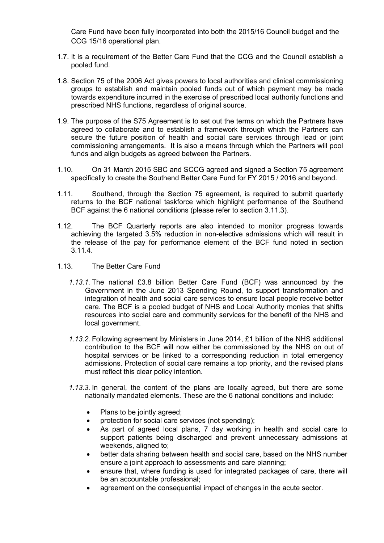Care Fund have been fully incorporated into both the 2015/16 Council budget and the CCG 15/16 operational plan.

- 1.7. It is a requirement of the Better Care Fund that the CCG and the Council establish a pooled fund.
- 1.8. Section 75 of the 2006 Act gives powers to local authorities and clinical commissioning groups to establish and maintain pooled funds out of which payment may be made towards expenditure incurred in the exercise of prescribed local authority functions and prescribed NHS functions, regardless of original source.
- 1.9. The purpose of the S75 Agreement is to set out the terms on which the Partners have agreed to collaborate and to establish a framework through which the Partners can secure the future position of health and social care services through lead or joint commissioning arrangements. It is also a means through which the Partners will pool funds and align budgets as agreed between the Partners.
- 1.10. On 31 March 2015 SBC and SCCG agreed and signed a Section 75 agreement specifically to create the Southend Better Care Fund for FY 2015 / 2016 and beyond.
- 1.11. Southend, through the Section 75 agreement, is required to submit quarterly returns to the BCF national taskforce which highlight performance of the Southend BCF against the 6 national conditions (please refer to section 3.11.3).
- 1.12. The BCF Quarterly reports are also intended to monitor progress towards achieving the targeted 3.5% reduction in non-elective admissions which will result in the release of the pay for performance element of the BCF fund noted in section 3.11.4.
- 1.13. The Better Care Fund
	- *1.13.1.* The national £3.8 billion Better Care Fund (BCF) was announced by the Government in the June 2013 Spending Round, to support transformation and integration of health and social care services to ensure local people receive better care. The BCF is a pooled budget of NHS and Local Authority monies that shifts resources into social care and community services for the benefit of the NHS and local government.
	- *1.13.2.* Following agreement by Ministers in June 2014, £1 billion of the NHS additional contribution to the BCF will now either be commissioned by the NHS on out of hospital services or be linked to a corresponding reduction in total emergency admissions. Protection of social care remains a top priority, and the revised plans must reflect this clear policy intention.
	- *1.13.3.* In general, the content of the plans are locally agreed, but there are some nationally mandated elements. These are the 6 national conditions and include:
		- Plans to be jointly agreed;
		- protection for social care services (not spending);
		- As part of agreed local plans, 7 day working in health and social care to support patients being discharged and prevent unnecessary admissions at weekends, aligned to;
		- better data sharing between health and social care, based on the NHS number ensure a joint approach to assessments and care planning;
		- ensure that, where funding is used for integrated packages of care, there will be an accountable professional;
		- agreement on the consequential impact of changes in the acute sector.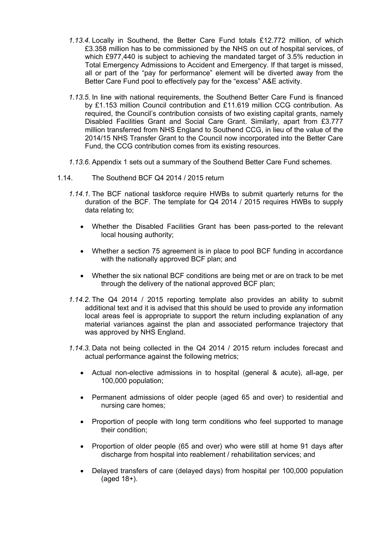- *1.13.4.* Locally in Southend, the Better Care Fund totals £12.772 million, of which £3.358 million has to be commissioned by the NHS on out of hospital services, of which £977,440 is subject to achieving the mandated target of 3.5% reduction in Total Emergency Admissions to Accident and Emergency. If that target is missed, all or part of the "pay for performance" element will be diverted away from the Better Care Fund pool to effectively pay for the "excess" A&E activity.
- *1.13.5.* In line with national requirements, the Southend Better Care Fund is financed by £1.153 million Council contribution and £11.619 million CCG contribution. As required, the Council's contribution consists of two existing capital grants, namely Disabled Facilities Grant and Social Care Grant. Similarly, apart from £3.777 million transferred from NHS England to Southend CCG, in lieu of the value of the 2014/15 NHS Transfer Grant to the Council now incorporated into the Better Care Fund, the CCG contribution comes from its existing resources.
- *1.13.6.* Appendix 1 sets out a summary of the Southend Better Care Fund schemes.
- 1.14. The Southend BCF Q4 2014 / 2015 return
	- *1.14.1.* The BCF national taskforce require HWBs to submit quarterly returns for the duration of the BCF. The template for Q4 2014 / 2015 requires HWBs to supply data relating to;
		- Whether the Disabled Facilities Grant has been pass-ported to the relevant local housing authority;
		- Whether a section 75 agreement is in place to pool BCF funding in accordance with the nationally approved BCF plan; and
		- Whether the six national BCF conditions are being met or are on track to be met through the delivery of the national approved BCF plan;
	- *1.14.2.* The Q4 2014 / 2015 reporting template also provides an ability to submit additional text and it is advised that this should be used to provide any information local areas feel is appropriate to support the return including explanation of any material variances against the plan and associated performance trajectory that was approved by NHS England.
	- *1.14.3.* Data not being collected in the Q4 2014 / 2015 return includes forecast and actual performance against the following metrics;
		- Actual non-elective admissions in to hospital (general & acute), all-age, per 100,000 population;
		- Permanent admissions of older people (aged 65 and over) to residential and nursing care homes;
		- Proportion of people with long term conditions who feel supported to manage their condition;
		- Proportion of older people (65 and over) who were still at home 91 days after discharge from hospital into reablement / rehabilitation services; and
		- Delayed transfers of care (delayed days) from hospital per 100,000 population (aged 18+).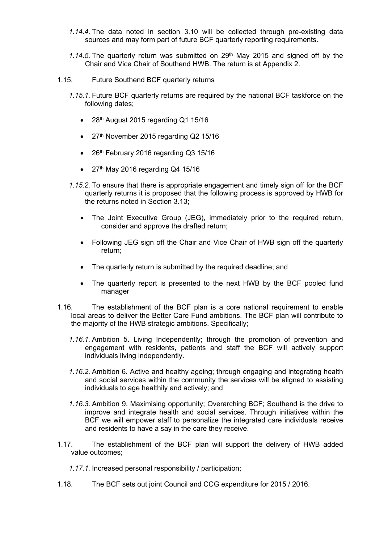- *1.14.4.* The data noted in section 3.10 will be collected through pre-existing data sources and may form part of future BCF quarterly reporting requirements.
- 1.14.5. The quarterly return was submitted on 29<sup>th</sup> May 2015 and signed off by the Chair and Vice Chair of Southend HWB. The return is at Appendix 2.
- 1.15. Future Southend BCF quarterly returns
	- *1.15.1.* Future BCF quarterly returns are required by the national BCF taskforce on the following dates;
		- 28<sup>th</sup> August 2015 regarding Q1 15/16
		- 27<sup>th</sup> November 2015 regarding Q2 15/16
		- 26<sup>th</sup> February 2016 regarding Q3 15/16
		- $\bullet$  27<sup>th</sup> May 2016 regarding Q4 15/16
	- *1.15.2.* To ensure that there is appropriate engagement and timely sign off for the BCF quarterly returns it is proposed that the following process is approved by HWB for the returns noted in Section 3.13;
		- The Joint Executive Group (JEG), immediately prior to the required return, consider and approve the drafted return;
		- Following JEG sign off the Chair and Vice Chair of HWB sign off the quarterly return;
		- The quarterly return is submitted by the required deadline; and
		- The quarterly report is presented to the next HWB by the BCF pooled fund manager
- 1.16. The establishment of the BCF plan is a core national requirement to enable local areas to deliver the Better Care Fund ambitions. The BCF plan will contribute to the majority of the HWB strategic ambitions. Specifically;
	- *1.16.1.* Ambition 5. Living Independently; through the promotion of prevention and engagement with residents, patients and staff the BCF will actively support individuals living independently.
	- *1.16.2.* Ambition 6. Active and healthy ageing; through engaging and integrating health and social services within the community the services will be aligned to assisting individuals to age healthily and actively; and
	- *1.16.3.* Ambition 9. Maximising opportunity; Overarching BCF; Southend is the drive to improve and integrate health and social services. Through initiatives within the BCF we will empower staff to personalize the integrated care individuals receive and residents to have a say in the care they receive.
- 1.17. The establishment of the BCF plan will support the delivery of HWB added value outcomes;
	- *1.17.1.* Increased personal responsibility / participation;
- 1.18. The BCF sets out joint Council and CCG expenditure for 2015 / 2016.